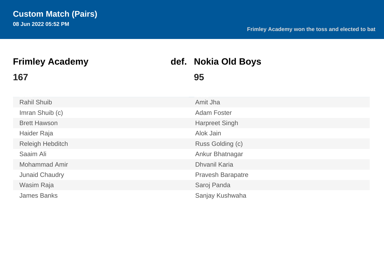# **167 95**

# **Frimley Academy def. Nokia Old Boys**

| <b>Rahil Shuib</b>      | Amit Jha                 |
|-------------------------|--------------------------|
| Imran Shuib (c)         | <b>Adam Foster</b>       |
| <b>Brett Hawson</b>     | <b>Harpreet Singh</b>    |
| Haider Raja             | Alok Jain                |
| <b>Releigh Hebditch</b> | Russ Golding (c)         |
| Saaim Ali               | Ankur Bhatnagar          |
| <b>Mohammad Amir</b>    | <b>Dhvanil Karia</b>     |
| <b>Junaid Chaudry</b>   | <b>Pravesh Barapatre</b> |
| Wasim Raja              | Saroj Panda              |
| <b>James Banks</b>      | Sanjay Kushwaha          |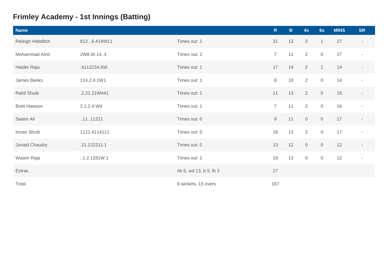### **Frimley Academy - 1st Innings (Batting)**

| <b>Name</b>         |              |                        | R              | $\mathbf{B}$ | 4s             | 6s                  | <b>MINS</b> | <b>SR</b>                |
|---------------------|--------------|------------------------|----------------|--------------|----------------|---------------------|-------------|--------------------------|
| Releigh Hebditch    | 8126.414W11  | Times out: 1           | 31             | 13           | $\overline{2}$ | $\mathbf{1}$        | 27          | $\sim$                   |
| Mohammad Amir       | 2W8.W.144    | Times out: 2           | $\overline{7}$ | 11           | $\overline{2}$ | $\overline{0}$      | 27          | $\sim$                   |
| Haider Raja         | .4112234.6W. | Times out: 1           | 17             | 14           | $\overline{2}$ | $\overline{1}$      | 14          | $\overline{\phantom{a}}$ |
| James Banks         | 114.2.4.1W1  | Times out: 1           | 8              | 10           | 2              | $\mathsf{O}\xspace$ | 14          |                          |
| Rahil Shuib         | .2.21.21W441 | Times out: 1           | 11             | 13           | $\overline{2}$ | $\mathsf O$         | 16          |                          |
| <b>Brett Hawson</b> | 2.1.2.4.W4   | Times out: 1           | $\overline{7}$ | 11           | 2              | $\mathbf 0$         | 16          | $\overline{\phantom{a}}$ |
| Saaim Ali           | .11.11221    | Times out: 0           | $\Theta$       | 11           | $\mathbf 0$    | $\mathbf 0$         | 17          |                          |
| Imran Shuib         | 1121.4114111 | Times out: 0           | 18             | 13           | $\overline{2}$ | $\mathbf 0$         | 17          | $\sim$                   |
| Junaid Chaudry      | .21.122211.1 | Times out: 0           | 13             | 12           | $\mathbf 0$    | $\mathbf 0$         | 12          | $\sim$                   |
| Wasim Raja          | .1.2.1281W.1 | Times out: 1           | 19             | 13           | $\mathbf 0$    | $\mathbf 0$         | 12          | $\sim$                   |
| Extras              |              | nb 6, wd 13, b 5, lb 3 | 27             |              |                |                     |             |                          |
| Total               |              | 8 wickets, 15 overs    | 167            |              |                |                     |             |                          |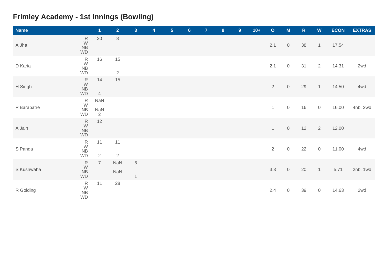### **Frimley Academy - 1st Innings (Bowling)**

| <b>Name</b> |                                                      | $\overline{\mathbf{1}}$      | $\overline{2}$       | 3 <sup>1</sup>          | 4 | 5 <sub>5</sub> | $6\phantom{.}6$ | $\overline{7}$ | $\boldsymbol{8}$ | 9 <sup>°</sup> | $10+$ | $\mathbf{o}$   | $\mathsf{M}$        | ${\sf R}$ | $\boldsymbol{\mathsf{W}}$ | <b>ECON</b> | <b>EXTRAS</b> |
|-------------|------------------------------------------------------|------------------------------|----------------------|-------------------------|---|----------------|-----------------|----------------|------------------|----------------|-------|----------------|---------------------|-----------|---------------------------|-------------|---------------|
| A Jha       | ${\sf R}$<br>W<br><b>NB</b><br><b>WD</b>             | 30                           | $\,8\,$              |                         |   |                |                 |                |                  |                |       | 2.1            | $\mathbf 0$         | 38        | $\mathbf{1}$              | 17.54       |               |
| D Karia     | $\frac{R}{W}$<br><b>NB</b><br><b>WD</b>              | 16                           | 15<br>$\overline{2}$ |                         |   |                |                 |                |                  |                |       | 2.1            | $\mathsf{O}$        | 31        | 2                         | 14.31       | 2wd           |
| H Singh     | ${\sf R}$<br>${\mathsf W}$<br><b>NB</b><br><b>WD</b> | 14<br>$\overline{4}$         | 15                   |                         |   |                |                 |                |                  |                |       | $\overline{2}$ | $\mathbf 0$         | 29        | $\mathbf{1}$              | 14.50       | 4wd           |
| P Barapatre | $\frac{R}{W}$<br><b>NB</b><br>WD                     | NaN<br>NaN<br>$\overline{2}$ |                      |                         |   |                |                 |                |                  |                |       | $\mathbf{1}$   | $\mathsf{O}$        | 16        | $\mathsf{O}\xspace$       | 16.00       | 4nb, 2wd      |
| A Jain      | ${\sf R}$<br>${\mathsf W}$<br><b>NB</b><br><b>WD</b> | 12                           |                      |                         |   |                |                 |                |                  |                |       | $\mathbf{1}$   | $\mathsf{O}$        | 12        | 2                         | 12.00       |               |
| S Panda     | $\frac{R}{W}$<br><b>NB</b><br>WD                     | 11<br>$\overline{2}$         | 11<br>$\sqrt{2}$     |                         |   |                |                 |                |                  |                |       | $\overline{2}$ | $\mathbb O$         | 22        | $\mathsf{O}\xspace$       | 11.00       | 4wd           |
| S Kushwaha  | ${\sf R}$<br>W<br>N <sub>B</sub><br>WD               | $\overline{7}$               | NaN<br>NaN           | $\,6\,$<br>$\mathbf{1}$ |   |                |                 |                |                  |                |       | 3.3            | $\mathbf 0$         | 20        | $\overline{1}$            | 5.71        | 2nb, 1wd      |
| R Golding   | $\begin{array}{c}\nR \\ W \\ NB\n\end{array}$<br>WD  | 11                           | 28                   |                         |   |                |                 |                |                  |                |       | 2.4            | $\mathsf{O}\xspace$ | 39        | $\mathsf O$               | 14.63       | 2wd           |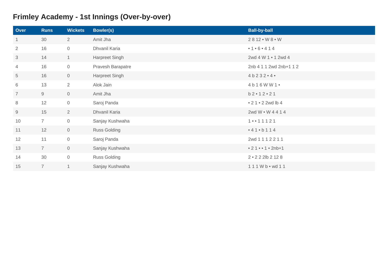### **Frimley Academy - 1st Innings (Over-by-over)**

| Over           | <b>Runs</b>    | <b>Wickets</b> | <b>Bowler(s)</b>    | <b>Ball-by-ball</b>         |
|----------------|----------------|----------------|---------------------|-----------------------------|
| 1              | 30             | $\overline{2}$ | Amit Jha            | $2812 \cdot W8 \cdot W$     |
| $\overline{2}$ | 16             | $\overline{0}$ | Dhvanil Karia       | • 1 • 6 • 4 1 4             |
| 3              | 14             | $\mathbf{1}$   | Harpreet Singh      | 2wd 4 W 1 • 1 2wd 4         |
| $\overline{4}$ | 16             | $\overline{0}$ | Pravesh Barapatre   | 2nb 4 1 1 2wd 2nb+1 1 2     |
| 5              | 16             | $\overline{0}$ | Harpreet Singh      | 4 b 2 3 2 4 4               |
| 6              | 13             | $\overline{2}$ | Alok Jain           | 4 b 1 6 W W 1 •             |
| $\overline{7}$ | 9              | $\overline{0}$ | Amit Jha            | $b2 \cdot 12 \cdot 21$      |
| 8              | 12             | $\overline{0}$ | Saroj Panda         | • 2 1 • 2 2 wd lb 4         |
| 9              | 15             | $\overline{2}$ | Dhvanil Karia       | 2wd W • W 4 4 1 4           |
| 10             | $\overline{7}$ | $\overline{0}$ | Sanjay Kushwaha     | $1 - 11121$                 |
| 11             | 12             | $\overline{0}$ | <b>Russ Golding</b> | • 4 1 • b 1 1 4             |
| 12             | 11             | $\overline{0}$ | Saroj Panda         | 2wd 1 1 1 2 2 1 1           |
| 13             | $\overline{7}$ | $\overline{0}$ | Sanjay Kushwaha     | • $21 \cdot 1 \cdot 2$ nb+1 |
| 14             | 30             | $\overline{0}$ | <b>Russ Golding</b> | 2 . 2 2 2 lb 2 1 2 8        |
| 15             | $\overline{7}$ | $\mathbf{1}$   | Sanjay Kushwaha     | 111Wb • wd 11               |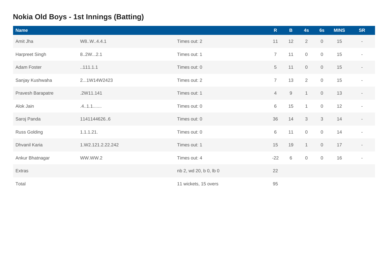### **Nokia Old Boys - 1st Innings (Batting)**

| <b>Name</b>         |                   |                        | $\mathsf{R}$    | $\mathbf{B}$ | 4s             | 6s                  | <b>MINS</b> | <b>SR</b>                |
|---------------------|-------------------|------------------------|-----------------|--------------|----------------|---------------------|-------------|--------------------------|
| Amit Jha            | W8.W.4.4.1        | Times out: 2           | 11              | 12           | $\overline{2}$ | $\mathbf 0$         | 15          | $\overline{\phantom{a}}$ |
| Harpreet Singh      | 8.2W2.1           | Times out: 1           | $\overline{7}$  | 11           | $\overline{0}$ | $\mathsf O$         | 15          | $\overline{\phantom{a}}$ |
| Adam Foster         | .111.1.1          | Times out: 0           | $5\phantom{.0}$ | 11           | $\mathsf{O}$   | $\mathsf{O}$        | 15          | $\overline{\phantom{a}}$ |
| Sanjay Kushwaha     | 21W14W2423        | Times out: 2           | $\overline{7}$  | 13           | 2              | $\mathsf{O}$        | 15          |                          |
| Pravesh Barapatre   | .2W11.141         | Times out: 1           | $\overline{4}$  | $9\,$        | $\overline{1}$ | $\mathsf{O}\xspace$ | 13          |                          |
| Alok Jain           | .4.1.1            | Times out: 0           | 6               | 15           | $\mathbf{1}$   | $\mathsf O$         | 12          | $\sim$                   |
| Saroj Panda         | 11411446266       | Times out: 0           | 36              | 14           | 3              | $\mathcal{S}$       | 14          |                          |
| <b>Russ Golding</b> | 1.1.1.21.         | Times out: 0           | 6               | 11           | $\mathsf{O}$   | $\mathsf O$         | 14          | $\sim$                   |
| Dhvanil Karia       | 1.W2.121.2.22.242 | Times out: 1           | 15              | 19           | $\overline{1}$ | $\mathbf 0$         | 17          | $\sim$                   |
| Ankur Bhatnagar     | WW.WW.2           | Times out: 4           | $-22$           | $\,6\,$      | $\sqrt{0}$     | $\mathbf 0$         | 16          | $\sim$                   |
| Extras              |                   | nb 2, wd 20, b 0, lb 0 | 22              |              |                |                     |             |                          |
| Total               |                   | 11 wickets, 15 overs   | 95              |              |                |                     |             |                          |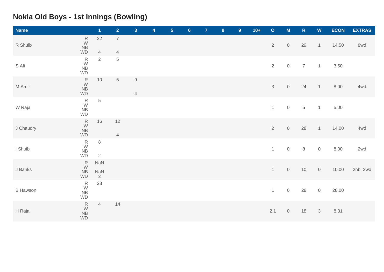#### **Nokia Old Boys - 1st Innings (Bowling)**

| <b>Name</b>     |                                                                | $\blacktriangleleft$                | $\overline{2}$                     | $\mathbf{3}$                  | 4 | $5\phantom{.}$ | $6\phantom{a}$ | $\overline{7}$ | $\boldsymbol{8}$ | 9 | $10+$ | $\mathbf O$    | $\mathsf{M}$        | ${\sf R}$      | $\boldsymbol{\mathsf{W}}$ | <b>ECON</b> | <b>EXTRAS</b> |
|-----------------|----------------------------------------------------------------|-------------------------------------|------------------------------------|-------------------------------|---|----------------|----------------|----------------|------------------|---|-------|----------------|---------------------|----------------|---------------------------|-------------|---------------|
| R Shuib         | $\stackrel{\mathsf{R}}{\mathsf{W}}$<br><b>NB</b><br><b>WD</b>  | $22\,$<br>$\overline{4}$            | $\boldsymbol{7}$<br>$\overline{4}$ |                               |   |                |                |                |                  |   |       | $\overline{2}$ | $\mathsf{O}\xspace$ | 29             | $\mathbf{1}$              | 14.50       | 8wd           |
| S Ali           | $\frac{R}{W}$<br>${\sf NB}$<br><b>WD</b>                       | $\overline{2}$                      | $\,$ 5 $\,$                        |                               |   |                |                |                |                  |   |       | $\overline{2}$ | $\mathbf 0$         | $\overline{7}$ | $\overline{1}$            | 3.50        |               |
| M Amir          | $\frac{R}{W}$<br>NB<br><b>WD</b>                               | $10$                                | $\,$ 5 $\,$                        | $\mathsf 9$<br>$\overline{4}$ |   |                |                |                |                  |   |       | $\mathbf{3}$   | $\mathsf{O}\xspace$ | 24             | $\mathbf{1}$              | 8.00        | 4wd           |
| W Raja          | $_\mathrm{W}^\mathrm{R}$<br>${\sf NB}$<br><b>WD</b>            | $\,$ 5 $\,$                         |                                    |                               |   |                |                |                |                  |   |       | $\mathbf{1}$   | $\mathbf 0$         | $\,$ 5 $\,$    | $\mathbf{1}$              | 5.00        |               |
| J Chaudry       | $\frac{R}{W}$<br><b>NB</b><br>WD                               | 16                                  | 12<br>$\overline{4}$               |                               |   |                |                |                |                  |   |       | $\overline{2}$ | $\mathsf{O}\xspace$ | 28             | $\mathbf{1}$              | 14.00       | 4wd           |
| I Shuib         | $\stackrel{\mathsf{R}}{\mathsf{W}}$<br>${\sf NB}$<br><b>WD</b> | $\,8\,$<br>$\overline{2}$           |                                    |                               |   |                |                |                |                  |   |       | $\mathbf{1}$   | $\mathbf 0$         | $\,8\,$        | $\mathsf{O}$              | 8.00        | 2wd           |
| J Banks         | R<br>W<br><b>NB</b><br>$\mathsf{WD}$                           | <b>NaN</b><br>NaN<br>$\overline{2}$ |                                    |                               |   |                |                |                |                  |   |       | 1              | $\mathbf 0$         | 10             | $\mathbf 0$               | 10.00       | 2nb, 2wd      |
| <b>B</b> Hawson | $\frac{R}{W}$<br>${\sf NB}$<br><b>WD</b>                       | 28                                  |                                    |                               |   |                |                |                |                  |   |       | $\mathbf{1}$   | $\mathbb O$         | 28             | $\mathsf{O}$              | 28.00       |               |
| H Raja          | $\begin{array}{c}\nR \\ W \\ NB\n\end{array}$<br>WD            | $\overline{4}$                      | 14                                 |                               |   |                |                |                |                  |   |       | 2.1            | $\mathbf 0$         | 18             | $\mathcal{S}$             | 8.31        |               |